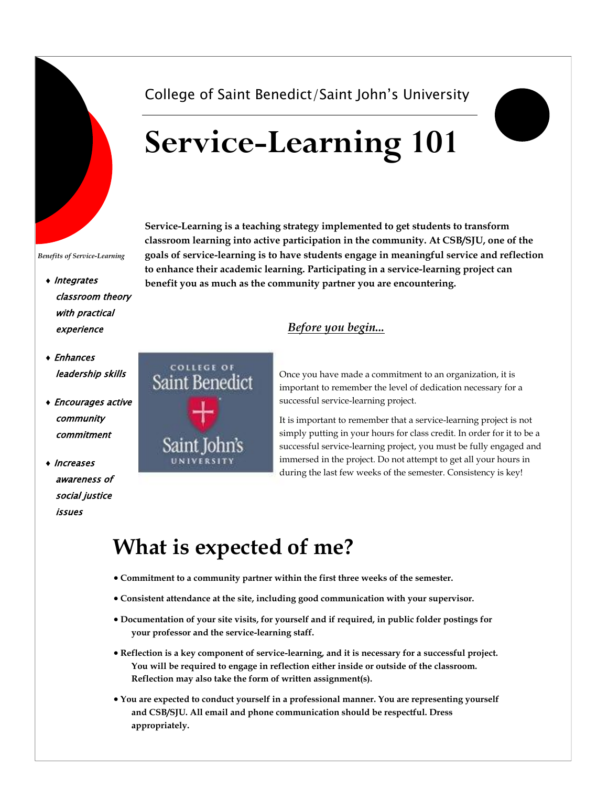

#### *Benefits of Service-Learning*

- Integrates classroom theory with practical experience
- Enhances leadership skills
- Encourages active community commitment
- Increases awareness of social justice issues



## College of Saint Benedict/Saint John's University

# **Service-Learning 101**

**Service-Learning is a teaching strategy implemented to get students to transform classroom learning into active participation in the community. At CSB/SJU, one of the goals of service-learning is to have students engage in meaningful service and reflection to enhance their academic learning. Participating in a service-learning project can benefit you as much as the community partner you are encountering.** 

### *Before you begin...*

Once you have made a commitment to an organization, it is important to remember the level of dedication necessary for a successful service-learning project.

It is important to remember that a service-learning project is not simply putting in your hours for class credit. In order for it to be a successful service-learning project, you must be fully engaged and immersed in the project. Do not attempt to get all your hours in during the last few weeks of the semester. Consistency is key!

# **What is expected of me?**

- **Commitment to a community partner within the first three weeks of the semester.**
- **Consistent attendance at the site, including good communication with your supervisor.**
- **Documentation of your site visits, for yourself and if required, in public folder postings for your professor and the service-learning staff.**
- **Reflection is a key component of service-learning, and it is necessary for a successful project. You will be required to engage in reflection either inside or outside of the classroom. Reflection may also take the form of written assignment(s).**
- **You are expected to conduct yourself in a professional manner. You are representing yourself and CSB/SJU. All email and phone communication should be respectful. Dress appropriately.**